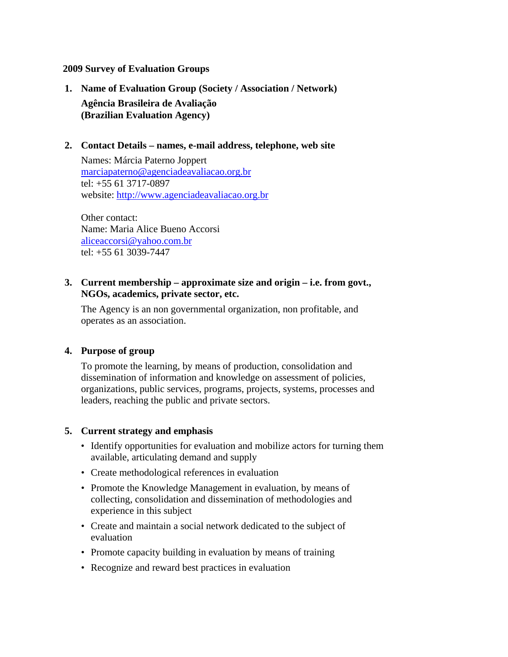### **2009 Survey of Evaluation Groups**

**1. Name of Evaluation Group (Society / Association / Network) Agência Brasileira de Avaliação (Brazilian Evaluation Agency)**

## **2. Contact Details – names, e-mail address, telephone, web site**

Names: Márcia Paterno Joppert marciapaterno@agenciadeavaliacao.org.br tel: +55 61 3717-0897 website: http://www.agenciadeavaliacao.org.br

Other contact: Name: Maria Alice Bueno Accorsi aliceaccorsi@yahoo.com.br tel: +55 61 3039-7447

## **3. Current membership – approximate size and origin – i.e. from govt., NGOs, academics, private sector, etc.**

The Agency is an non governmental organization, non profitable, and operates as an association.

### **4. Purpose of group**

To promote the learning, by means of production, consolidation and dissemination of information and knowledge on assessment of policies, organizations, public services, programs, projects, systems, processes and leaders, reaching the public and private sectors.

#### **5. Current strategy and emphasis**

- Identify opportunities for evaluation and mobilize actors for turning them available, articulating demand and supply
- Create methodological references in evaluation
- Promote the Knowledge Management in evaluation, by means of collecting, consolidation and dissemination of methodologies and experience in this subject
- Create and maintain a social network dedicated to the subject of evaluation
- Promote capacity building in evaluation by means of training
- Recognize and reward best practices in evaluation